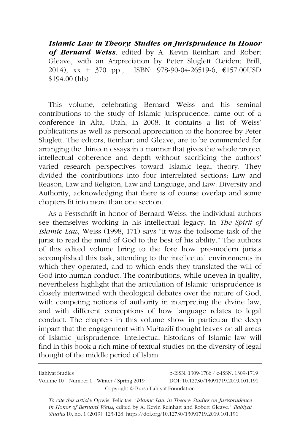*Islamic Law in Theory: Studies on Jurisprudence in Honor of Bernard Weiss*, edited by A. Kevin Reinhart and Robert Gleave, with an Appreciation by Peter Sluglett (Leiden: Brill, 2014), xx + 370 pp., ISBN: 978-90-04-26519-6, €157.00USD \$194.00 (hb)

This volume, celebrating Bernard Weiss and his seminal contributions to the study of Islamic jurisprudence, came out of a conference in Alta, Utah, in 2008. It contains a list of Weiss' publications as well as personal appreciation to the honoree by Peter Sluglett. The editors, Reinhart and Gleave, are to be commended for arranging the thirteen essays in a manner that gives the whole project intellectual coherence and depth without sacrificing the authors' varied research perspectives toward Islamic legal theory. They divided the contributions into four interrelated sections: Law and Reason, Law and Religion, Law and Language, and Law: Diversity and Authority, acknowledging that there is of course overlap and some chapters fit into more than one section.

As a Festschrift in honor of Bernard Weiss, the individual authors see themselves working in his intellectual legacy. In *The Spirit of Islamic Law*, Weiss (1998, 171) says "it was the toilsome task of the jurist to read the mind of God to the best of his ability." The authors of this edited volume bring to the fore how pre-modern jurists accomplished this task, attending to the intellectual environments in which they operated, and to which ends they translated the will of God into human conduct. The contributions, while uneven in quality, nevertheless highlight that the articulation of Islamic jurisprudence is closely intertwined with theological debates over the nature of God, with competing notions of authority in interpreting the divine law, and with different conceptions of how language relates to legal conduct. The chapters in this volume show in particular the deep impact that the engagement with Mu'tazilī thought leaves on all areas of Islamic jurisprudence. Intellectual historians of Islamic law will find in this book a rich mine of textual studies on the diversity of legal thought of the middle period of Islam.

Ilahiyat Studies p-ISSN: 1309-1786 / e-ISSN: 1309-1719 Volume 10 Number 1 Winter / Spring 2019 DOI: 10.12730/13091719.2019.101.191 Copyright © Bursa İlahiyat Foundation

*To cite this article*: Opwis, Felicitas. "*Islamic Law in Theory: Studies on Jurisprudence in Honor of Bernard Weiss*, edited by A. Kevin Reinhart and Robert Gleave." *Ilahiyat Studies* 10, no. 1 (2019): 123-128. https://doi.org/10.12730/13091719.2019.101.191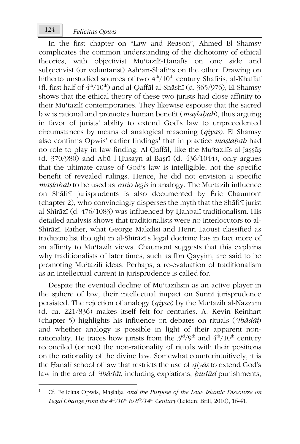In the first chapter on "Law and Reason", Ahmed El Shamsy complicates the common understanding of the dichotomy of ethical theories, with objectivist Muʿtazilī-Ḥanafīs on one side and subjectivist (or voluntarist) Ashʿarī-Shāfiʿīs on the other. Drawing on hitherto unstudied sources of two  $4<sup>th</sup>/10<sup>th</sup>$  century Shāfi<sup> $\tau$ </sup>is, al-Khaffāf (fl. first half of  $4<sup>th</sup>/10<sup>th</sup>$ ) and al-Qaffāl al-Shāshī (d. 365/976), El Shamsy shows that the ethical theory of these two jurists had close affinity to their Muʿtazilī contemporaries. They likewise espouse that the sacred law is rational and promotes human benefit (*maṣlaḥah*), thus arguing in favor of jurists' ability to extend God's law to unprecedented circumstances by means of analogical reasoning (*qiyās*). El Shamsy also confirms Opwis' earlier findings<sup>1</sup> that in practice *maṣlaḥah* had no role to play in law-finding. Al-Qaffāl, like the Muʿtazilīs al-Jaṣṣāṣ (d. 370/980) and Abū l-Ḥusayn al-Baṣrī (d. 436/1044), only argues that the ultimate cause of God's law is intelligible, not the specific benefit of revealed rulings. Hence, he did not envision a specific *maṣlaḥah* to be used as *ratio legis* in analogy. The Muʿtazilī influence on Shāfiʿī jurisprudents is also documented by Éric Chaumont (chapter 2), who convincingly disperses the myth that the Shāfiʿī jurist al-Shīrāzī (d. 476/1083) was influenced by Ḥanbalī traditionalism. His detailed analysis shows that traditionalists were no interlocutors to al-Shīrāzī. Rather, what George Makdisi and Henri Laoust classified as traditionalist thought in al-Shīrāzī's legal doctrine has in fact more of an affinity to Muʿtazilī views. Chaumont suggests that this explains why traditionalists of later times, such as Ibn Qayyim, are said to be promoting Muʿtazilī ideas. Perhaps, a re-evaluation of traditionalism as an intellectual current in jurisprudence is called for.

Despite the eventual decline of Mustazilism as an active player in the sphere of law, their intellectual impact on Sunnī jurisprudence persisted. The rejection of analogy (*qiyās*) by the Muʿtazilī al-Naẓẓām (d. ca. 221/836) makes itself felt for centuries. A. Kevin Reinhart (chapter 5) highlights his influence on debates on rituals (*ʿibādāt*) and whether analogy is possible in light of their apparent nonrationality. He traces how jurists from the  $3<sup>rd</sup>/9<sup>th</sup>$  and  $4<sup>th</sup>/10<sup>th</sup>$  century reconciled (or not) the non-rationality of rituals with their positions on the rationality of the divine law. Somewhat counterintuitively, it is the Ḥanafī school of law that restricts the use of *qiyās* to extend God's law in the area of *ʿibādāt*, including expiations, *ḥudūd* punishments,

<sup>1</sup> Cf. Felicitas Opwis, Maṣlaḥa *and the Purpose of the Law: Islamic Discourse on Legal Change from the 4th/10th to 8th/14th Century* (Leiden: Brill, 2010), 16-41.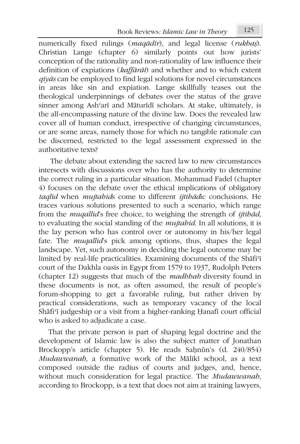Book Reviews*: Islamic Law in Theory* 125

numerically fixed rulings (*maqādīr*), and legal license (*rukhaṣ*). Christian Lange (chapter 6) similarly points out how jurists' conception of the rationality and non-rationality of law influence their definition of expiations (*kaffārāt*) and whether and to which extent *qiyās* can be employed to find legal solutions for novel circumstances in areas like sin and expiation. Lange skillfully teases out the theological underpinnings of debates over the status of the grave sinner among Ashʿarī and Māturīdī scholars. At stake, ultimately, is the all-encompassing nature of the divine law. Does the revealed law cover all of human conduct, irrespective of changing circumstances, or are some areas, namely those for which no tangible rationale can be discerned, restricted to the legal assessment expressed in the authoritative texts?

 The debate about extending the sacred law to new circumstances intersects with discussions over who has the authority to determine the correct ruling in a particular situation. Mohammad Fadel (chapter 4) focuses on the debate over the ethical implications of obligatory *taqlīd* when *mujtahid*s come to different *ijtihād*ic conclusions. He traces various solutions presented to such a scenario, which range from the *muqallid*'s free choice, to weighing the strength of *ijtihād*, to evaluating the social standing of the *mujtahid*. In all solutions, it is the lay person who has control over or autonomy in his/her legal fate. The *muqallid*'s pick among options, thus, shapes the legal landscape. Yet, such autonomy in deciding the legal outcome may be limited by real-life practicalities. Examining documents of the Shafi'i court of the Dakhla oasis in Egypt from 1579 to 1937, Rudolph Peters (chapter 12) suggests that much of the *madhhab* diversity found in these documents is not, as often assumed, the result of people's forum-shopping to get a favorable ruling, but rather driven by practical considerations, such as temporary vacancy of the local Shāfi'ī judgeship or a visit from a higher-ranking Ḥanafī court official who is asked to adjudicate a case.

That the private person is part of shaping legal doctrine and the development of Islamic law is also the subject matter of Jonathan Brockopp's article (chapter 5). He reads Saḥnūn's (d. 240/854) *Mudawwanah*, a formative work of the Mālikī school, as a text composed outside the radius of courts and judges, and, hence, without much consideration for legal practice. The *Mudawwanah*, according to Brockopp, is a text that does not aim at training lawyers,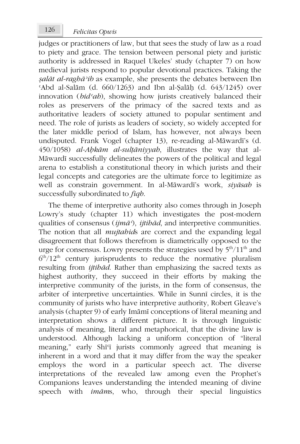judges or practitioners of law, but that sees the study of law as a road to piety and grace. The tension between personal piety and juristic authority is addressed in Raquel Ukeles' study (chapter 7) on how medieval jurists respond to popular devotional practices. Taking the *ṣalāt al-raghāʾib* as example, she presents the debates between Ibn ʿAbd al-Salām (d. 660/1263) and Ibn al-Ṣalāḥ (d. 643/1245) over innovation (*bidʿah*), showing how jurists creatively balanced their roles as preservers of the primacy of the sacred texts and as authoritative leaders of society attuned to popular sentiment and need. The role of jurists as leaders of society, so widely accepted for the later middle period of Islam, has however, not always been undisputed. Frank Vogel (chapter 13), re-reading al-Māwardī's (d. 450/1058) *al-Aḥkām al-sulṭāniyyah*, illustrates the way that al-Māwardī successfully delineates the powers of the political and legal arena to establish a constitutional theory in which jurists and their legal concepts and categories are the ultimate force to legitimize as well as constrain government. In al-Māwardī's work, *siyāsah* is successfully subordinated to *fiqh*.

The theme of interpretive authority also comes through in Joseph Lowry's study (chapter 11) which investigates the post-modern qualities of consensus (*ijmāʿ*), *ijtihād*, and interpretive communities. The notion that all *mujtahid*s are correct and the expanding legal disagreement that follows therefrom is diametrically opposed to the urge for consensus. Lowry presents the strategies used by  $5<sup>th</sup>/11<sup>th</sup>$  and  $6<sup>th</sup>/12<sup>th</sup>$  century jurisprudents to reduce the normative pluralism resulting from *ijtihād*. Rather than emphasizing the sacred texts as highest authority, they succeed in their efforts by making the interpretive community of the jurists, in the form of consensus, the arbiter of interpretive uncertainties. While in Sunnī circles, it is the community of jurists who have interpretive authority, Robert Gleave's analysis (chapter 9) of early Imāmī conceptions of literal meaning and interpretation shows a different picture. It is through linguistic analysis of meaning, literal and metaphorical, that the divine law is understood. Although lacking a uniform conception of "literal meaning," early Shī<sup>q</sup> jurists commonly agreed that meaning is inherent in a word and that it may differ from the way the speaker employs the word in a particular speech act. The diverse interpretations of the revealed law among even the Prophet's Companions leaves understanding the intended meaning of divine speech with *imām*s, who, through their special linguistics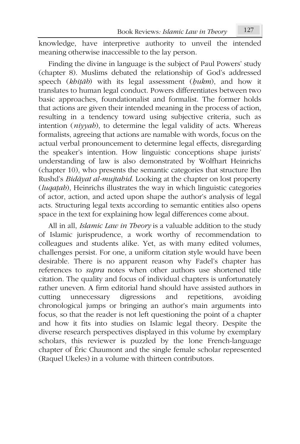knowledge, have interpretive authority to unveil the intended meaning otherwise inaccessible to the lay person.

Finding the divine in language is the subject of Paul Powers' study (chapter 8). Muslims debated the relationship of God's addressed speech (*khiṭāb*) with its legal assessment (*ḥukm*), and how it translates to human legal conduct. Powers differentiates between two basic approaches, foundationalist and formalist. The former holds that actions are given their intended meaning in the process of action, resulting in a tendency toward using subjective criteria, such as intention (*niyyah*), to determine the legal validity of acts. Whereas formalists, agreeing that actions are namable with words, focus on the actual verbal pronouncement to determine legal effects, disregarding the speaker's intention. How linguistic conceptions shape jurists' understanding of law is also demonstrated by Wolfhart Heinrichs (chapter 10), who presents the semantic categories that structure Ibn Rushd's *Bidāyat al-mujtahid*. Looking at the chapter on lost property (*luqaṭah*), Heinrichs illustrates the way in which linguistic categories of actor, action, and acted upon shape the author's analysis of legal acts. Structuring legal texts according to semantic entities also opens space in the text for explaining how legal differences come about.

All in all, *Islamic Law in Theory* is a valuable addition to the study of Islamic jurisprudence, a work worthy of recommendation to colleagues and students alike. Yet, as with many edited volumes, challenges persist. For one, a uniform citation style would have been desirable. There is no apparent reason why Fadel's chapter has references to *supra* notes when other authors use shortened title citation. The quality and focus of individual chapters is unfortunately rather uneven. A firm editorial hand should have assisted authors in cutting unnecessary digressions and repetitions, avoiding chronological jumps or bringing an author's main arguments into focus, so that the reader is not left questioning the point of a chapter and how it fits into studies on Islamic legal theory. Despite the diverse research perspectives displayed in this volume by exemplary scholars, this reviewer is puzzled by the lone French-language chapter of Éric Chaumont and the single female scholar represented (Raquel Ukeles) in a volume with thirteen contributors.